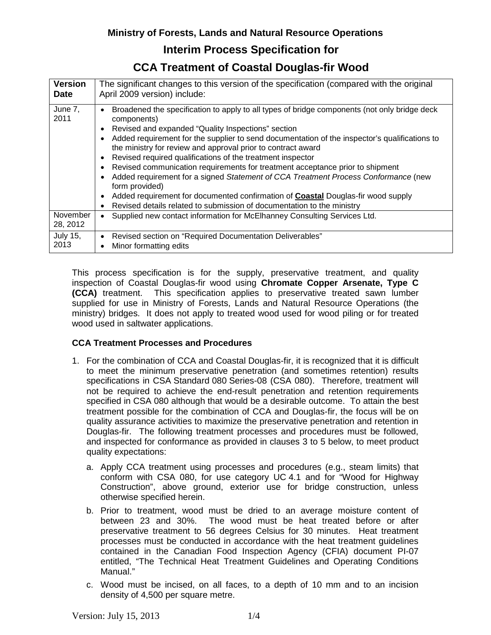## **Interim Process Specification for**

## **CCA Treatment of Coastal Douglas-fir Wood**

| <b>Version</b>       | The significant changes to this version of the specification (compared with the original                                                                                                                                                                                                                                                                                                                                                                                                                                                                                                                                                                                                                                                                       |
|----------------------|----------------------------------------------------------------------------------------------------------------------------------------------------------------------------------------------------------------------------------------------------------------------------------------------------------------------------------------------------------------------------------------------------------------------------------------------------------------------------------------------------------------------------------------------------------------------------------------------------------------------------------------------------------------------------------------------------------------------------------------------------------------|
| <b>Date</b>          | April 2009 version) include:                                                                                                                                                                                                                                                                                                                                                                                                                                                                                                                                                                                                                                                                                                                                   |
| June 7,<br>2011      | Broadened the specification to apply to all types of bridge components (not only bridge deck<br>components)<br>Revised and expanded "Quality Inspections" section<br>Added requirement for the supplier to send documentation of the inspector's qualifications to<br>the ministry for review and approval prior to contract award<br>Revised required qualifications of the treatment inspector<br>Revised communication requirements for treatment acceptance prior to shipment<br>Added requirement for a signed Statement of CCA Treatment Process Conformance (new<br>form provided)<br>Added requirement for documented confirmation of <b>Coastal</b> Douglas-fir wood supply<br>Revised details related to submission of documentation to the ministry |
| November<br>28, 2012 | Supplied new contact information for McElhanney Consulting Services Ltd.                                                                                                                                                                                                                                                                                                                                                                                                                                                                                                                                                                                                                                                                                       |
| <b>July 15,</b>      | Revised section on "Required Documentation Deliverables"                                                                                                                                                                                                                                                                                                                                                                                                                                                                                                                                                                                                                                                                                                       |
| 2013                 | Minor formatting edits                                                                                                                                                                                                                                                                                                                                                                                                                                                                                                                                                                                                                                                                                                                                         |

This process specification is for the supply, preservative treatment, and quality inspection of Coastal Douglas-fir wood using **Chromate Copper Arsenate, Type C (CCA)** treatment. This specification applies to preservative treated sawn lumber supplied for use in Ministry of Forests, Lands and Natural Resource Operations (the ministry) bridges. It does not apply to treated wood used for wood piling or for treated wood used in saltwater applications.

### **CCA Treatment Processes and Procedures**

- 1. For the combination of CCA and Coastal Douglas-fir, it is recognized that it is difficult to meet the minimum preservative penetration (and sometimes retention) results specifications in CSA Standard 080 Series-08 (CSA 080). Therefore, treatment will not be required to achieve the end-result penetration and retention requirements specified in CSA 080 although that would be a desirable outcome. To attain the best treatment possible for the combination of CCA and Douglas-fir, the focus will be on quality assurance activities to maximize the preservative penetration and retention in Douglas-fir. The following treatment processes and procedures must be followed, and inspected for conformance as provided in clauses 3 to 5 below, to meet product quality expectations:
	- a. Apply CCA treatment using processes and procedures (e.g., steam limits) that conform with CSA 080, for use category UC 4.1 and for "Wood for Highway Construction", above ground, exterior use for bridge construction, unless otherwise specified herein.
	- b. Prior to treatment, wood must be dried to an average moisture content of between 23 and 30%. The wood must be heat treated before or after preservative treatment to 56 degrees Celsius for 30 minutes. Heat treatment processes must be conducted in accordance with the heat treatment guidelines contained in the Canadian Food Inspection Agency (CFIA) document PI-07 entitled, "The Technical Heat Treatment Guidelines and Operating Conditions Manual."
	- c. Wood must be incised, on all faces, to a depth of 10 mm and to an incision density of 4,500 per square metre.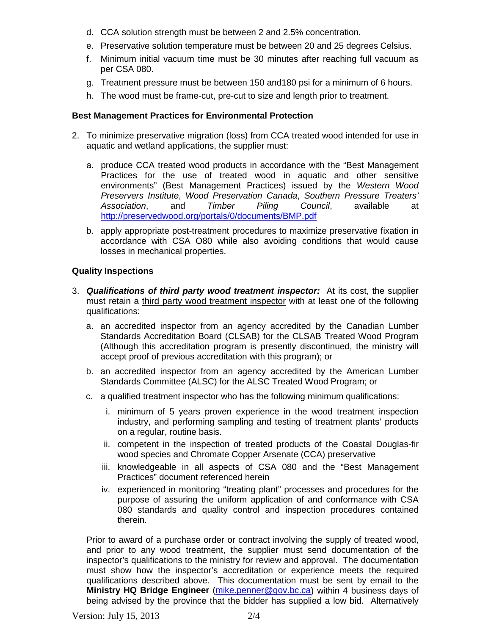- d. CCA solution strength must be between 2 and 2.5% concentration.
- e. Preservative solution temperature must be between 20 and 25 degrees Celsius.
- f. Minimum initial vacuum time must be 30 minutes after reaching full vacuum as per CSA 080.
- g. Treatment pressure must be between 150 and180 psi for a minimum of 6 hours.
- h. The wood must be frame-cut, pre-cut to size and length prior to treatment.

#### **Best Management Practices for Environmental Protection**

- 2. To minimize preservative migration (loss) from CCA treated wood intended for use in aquatic and wetland applications, the supplier must:
	- a. produce CCA treated wood products in accordance with the "Best Management Practices for the use of treated wood in aquatic and other sensitive environments" (Best Management Practices) issued by the *Western Wood Preservers Institute*, *Wood Preservation Canada*, *Southern Pressure Treaters' Association*, and *Timber Piling Council*, available at <http://preservedwood.org/portals/0/documents/BMP.pdf>
	- b. apply appropriate post-treatment procedures to maximize preservative fixation in accordance with CSA O80 while also avoiding conditions that would cause losses in mechanical properties.

#### **Quality Inspections**

- 3. *Qualifications of third party wood treatment inspector:* At its cost, the supplier must retain a third party wood treatment inspector with at least one of the following qualifications:
	- a. an accredited inspector from an agency accredited by the Canadian Lumber Standards Accreditation Board (CLSAB) for the CLSAB Treated Wood Program (Although this accreditation program is presently discontinued, the ministry will accept proof of previous accreditation with this program); or
	- b. an accredited inspector from an agency accredited by the American Lumber Standards Committee (ALSC) for the ALSC Treated Wood Program; or
	- c. a qualified treatment inspector who has the following minimum qualifications:
		- i. minimum of 5 years proven experience in the wood treatment inspection industry, and performing sampling and testing of treatment plants' products on a regular, routine basis.
		- ii. competent in the inspection of treated products of the Coastal Douglas-fir wood species and Chromate Copper Arsenate (CCA) preservative
		- iii. knowledgeable in all aspects of CSA 080 and the "Best Management Practices" document referenced herein
		- iv. experienced in monitoring "treating plant" processes and procedures for the purpose of assuring the uniform application of and conformance with CSA 080 standards and quality control and inspection procedures contained therein.

Prior to award of a purchase order or contract involving the supply of treated wood, and prior to any wood treatment, the supplier must send documentation of the inspector's qualifications to the ministry for review and approval. The documentation must show how the inspector's accreditation or experience meets the required qualifications described above. This documentation must be sent by email to the **Ministry HQ Bridge Engineer** [\(mike.penner@gov.bc.ca\)](mailto:mike.penner@gov.bc.ca) within 4 business days of being advised by the province that the bidder has supplied a low bid. Alternatively

Version: July 15, 2013 2/4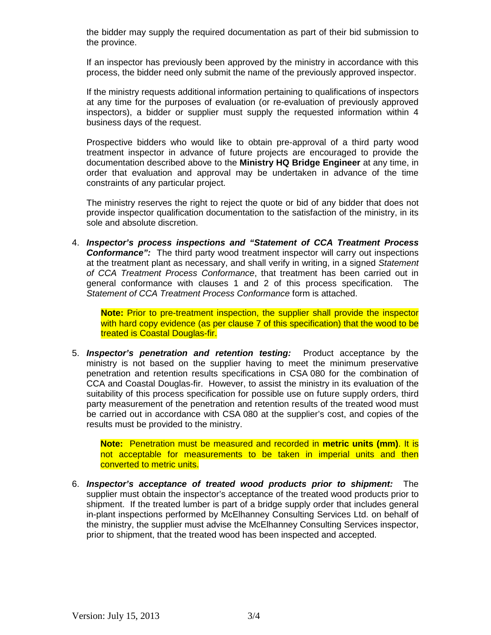the bidder may supply the required documentation as part of their bid submission to the province.

If an inspector has previously been approved by the ministry in accordance with this process, the bidder need only submit the name of the previously approved inspector.

If the ministry requests additional information pertaining to qualifications of inspectors at any time for the purposes of evaluation (or re-evaluation of previously approved inspectors), a bidder or supplier must supply the requested information within 4 business days of the request.

Prospective bidders who would like to obtain pre-approval of a third party wood treatment inspector in advance of future projects are encouraged to provide the documentation described above to the **Ministry HQ Bridge Engineer** at any time, in order that evaluation and approval may be undertaken in advance of the time constraints of any particular project.

The ministry reserves the right to reject the quote or bid of any bidder that does not provide inspector qualification documentation to the satisfaction of the ministry, in its sole and absolute discretion.

4. *Inspector's process inspections and "Statement of CCA Treatment Process*  **Conformance":** The third party wood treatment inspector will carry out inspections at the treatment plant as necessary, and shall verify in writing, in a signed *Statement of CCA Treatment Process Conformance*, that treatment has been carried out in general conformance with clauses 1 and 2 of this process specification. The *Statement of CCA Treatment Process Conformance* form is attached.

**Note:** Prior to pre-treatment inspection, the supplier shall provide the inspector with hard copy evidence (as per clause 7 of this specification) that the wood to be treated is Coastal Douglas-fir.

5. *Inspector's penetration and retention testing:* Product acceptance by the ministry is not based on the supplier having to meet the minimum preservative penetration and retention results specifications in CSA 080 for the combination of CCA and Coastal Douglas-fir. However, to assist the ministry in its evaluation of the suitability of this process specification for possible use on future supply orders, third party measurement of the penetration and retention results of the treated wood must be carried out in accordance with CSA 080 at the supplier's cost, and copies of the results must be provided to the ministry.

**Note:** Penetration must be measured and recorded in **metric units (mm)**. It is not acceptable for measurements to be taken in imperial units and then converted to metric units.

6. *Inspector's acceptance of treated wood products prior to shipment:* The supplier must obtain the inspector's acceptance of the treated wood products prior to shipment. If the treated lumber is part of a bridge supply order that includes general in-plant inspections performed by McElhanney Consulting Services Ltd. on behalf of the ministry, the supplier must advise the McElhanney Consulting Services inspector, prior to shipment, that the treated wood has been inspected and accepted.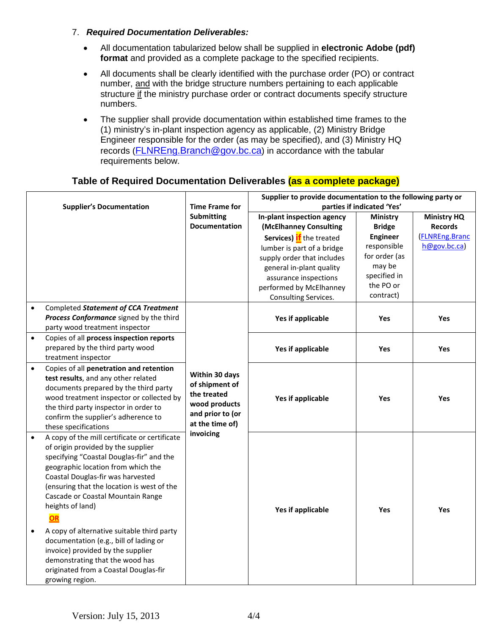#### 7. *Required Documentation Deliverables:*

- All documentation tabularized below shall be supplied in **electronic Adobe (pdf) format** and provided as a complete package to the specified recipients.
- All documents shall be clearly identified with the purchase order (PO) or contract number, and with the bridge structure numbers pertaining to each applicable structure if the ministry purchase order or contract documents specify structure numbers.
- The supplier shall provide documentation within established time frames to the (1) ministry's in-plant inspection agency as applicable, (2) Ministry Bridge Engineer responsible for the order (as may be specified), and (3) Ministry HQ records [\(FLNREng.Branch@gov.bc.ca\)](mailto:FLNREng.Branch@gov.bc.ca) in accordance with the tabular requirements below.

### **Table of Required Documentation Deliverables (as a complete package)**

| <b>Supplier's Documentation</b> |                                                                                                                                                                                                                                                                                                                                                                                                                                                                                                                                                     | <b>Time Frame for</b>                                                                                   | Supplier to provide documentation to the following party or<br>parties if indicated 'Yes'                                                                                                                                                            |                                                                                                                                         |                                                                        |
|---------------------------------|-----------------------------------------------------------------------------------------------------------------------------------------------------------------------------------------------------------------------------------------------------------------------------------------------------------------------------------------------------------------------------------------------------------------------------------------------------------------------------------------------------------------------------------------------------|---------------------------------------------------------------------------------------------------------|------------------------------------------------------------------------------------------------------------------------------------------------------------------------------------------------------------------------------------------------------|-----------------------------------------------------------------------------------------------------------------------------------------|------------------------------------------------------------------------|
|                                 |                                                                                                                                                                                                                                                                                                                                                                                                                                                                                                                                                     | <b>Submitting</b><br><b>Documentation</b>                                                               | In-plant inspection agency<br>(McElhanney Consulting<br>Services) if the treated<br>lumber is part of a bridge<br>supply order that includes<br>general in-plant quality<br>assurance inspections<br>performed by McElhanney<br>Consulting Services. | <b>Ministry</b><br><b>Bridge</b><br><b>Engineer</b><br>responsible<br>for order (as<br>may be<br>specified in<br>the PO or<br>contract) | <b>Ministry HQ</b><br><b>Records</b><br>(FLNREng.Branc<br>h@gov.bc.ca) |
| $\bullet$                       | Completed Statement of CCA Treatment<br>Process Conformance signed by the third<br>party wood treatment inspector                                                                                                                                                                                                                                                                                                                                                                                                                                   |                                                                                                         | Yes if applicable                                                                                                                                                                                                                                    | Yes                                                                                                                                     | Yes                                                                    |
| $\bullet$                       | Copies of all process inspection reports<br>prepared by the third party wood<br>treatment inspector                                                                                                                                                                                                                                                                                                                                                                                                                                                 |                                                                                                         | Yes if applicable                                                                                                                                                                                                                                    | Yes                                                                                                                                     | Yes                                                                    |
| $\bullet$                       | Copies of all penetration and retention<br>test results, and any other related<br>documents prepared by the third party<br>wood treatment inspector or collected by<br>the third party inspector in order to<br>confirm the supplier's adherence to<br>these specifications                                                                                                                                                                                                                                                                         | Within 30 days<br>of shipment of<br>the treated<br>wood products<br>and prior to (or<br>at the time of) | Yes if applicable                                                                                                                                                                                                                                    | Yes                                                                                                                                     | <b>Yes</b>                                                             |
| $\bullet$<br>$\bullet$          | A copy of the mill certificate or certificate<br>of origin provided by the supplier<br>specifying "Coastal Douglas-fir" and the<br>geographic location from which the<br>Coastal Douglas-fir was harvested<br>(ensuring that the location is west of the<br>Cascade or Coastal Mountain Range<br>heights of land)<br>OR<br>A copy of alternative suitable third party<br>documentation (e.g., bill of lading or<br>invoice) provided by the supplier<br>demonstrating that the wood has<br>originated from a Coastal Douglas-fir<br>growing region. | invoicing                                                                                               | <b>Yes if applicable</b>                                                                                                                                                                                                                             | Yes                                                                                                                                     | Yes                                                                    |